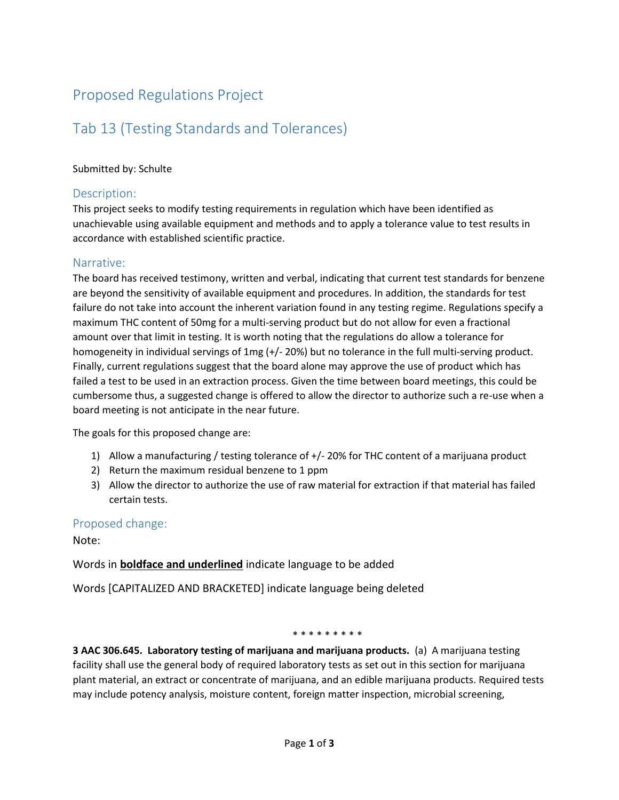## Proposed Regulations Project

# Tab 13 (Testing Standards and Tolerances)

### Submitted by: Schulte

### Description:

This project seeks to modify testing requirements in regulation which have been identified as unachievable using available equipment and methods and to apply a tolerance value to test results in accordance with established scientific practice.

#### Narrative:

The board has received testimony, written and verbal, indicating that current test standards for benzene are beyond the sensitivity of available equipment and procedures. In addition, the standards for test failure do not take into account the inherent variation found in any testing regime. Regulations specify a maximum THC content of 50mg for a multi-serving product but do not allow for even a fractional amount over that limit in testing. It is worth noting that the regulations do allow a tolerance for homogeneity in individual servings of 1mg (+/- 20%) but no tolerance in the full multi-serving product. Finally, current regulations suggest that the board alone may approve the use of product which has failed a test to be used in an extraction process. Given the time between board meetings, this could be cumbersome thus, a suggested change is offered to allow the director to authorize such a re-use when a board meeting is not anticipate in the near future.

The goals for this proposed change are:

- 1) Allow a manufacturing / testing tolerance of +/- 20% for THC content of a marijuana product
- 2) Return the maximum residual benzene to 1 ppm
- 3) Allow the director to authorize the use of raw material for extraction if that material has failed certain tests.

### Proposed change:

Note:

Words in **boldface and underlined** indicate language to be added

Words [CAPITALIZED AND BRACKETED] indicate language being deleted

#### \* \* \* \* \* \* \* \*

**3 AAC 306.645. Laboratory testing of marijuana and marijuana products.** (a) A marijuana testing facility shall use the general body of required laboratory tests as set out in this section for marijuana plant material, an extract or concentrate of marijuana, and an edible marijuana products. Required tests may include potency analysis, moisture content, foreign matter inspection, microbial screening,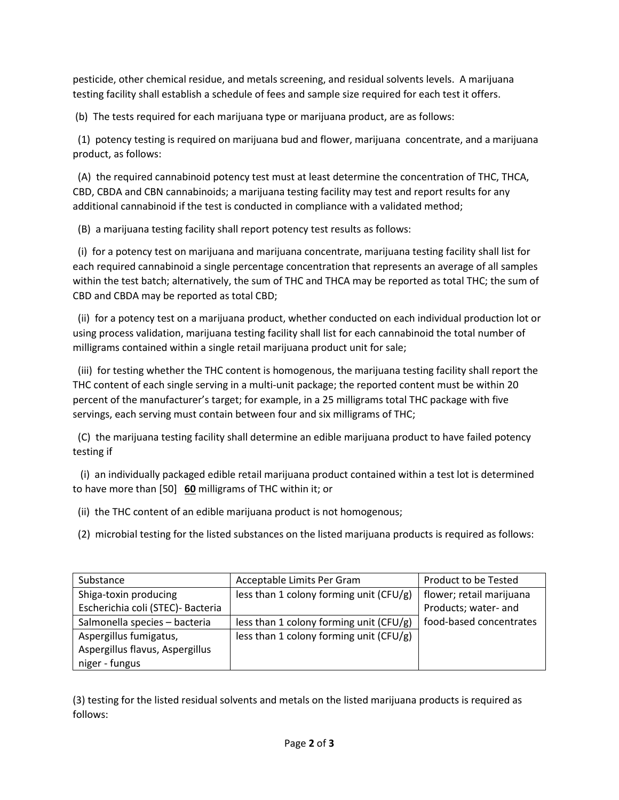pesticide, other chemical residue, and metals screening, and residual solvents levels. A marijuana testing facility shall establish a schedule of fees and sample size required for each test it offers.

(b) The tests required for each marijuana type or marijuana product, are as follows:

 (1) potency testing is required on marijuana bud and flower, marijuana concentrate, and a marijuana product, as follows:

 (A) the required cannabinoid potency test must at least determine the concentration of THC, THCA, CBD, CBDA and CBN cannabinoids; a marijuana testing facility may test and report results for any additional cannabinoid if the test is conducted in compliance with a validated method;

(B) a marijuana testing facility shall report potency test results as follows:

 (i) for a potency test on marijuana and marijuana concentrate, marijuana testing facility shall list for each required cannabinoid a single percentage concentration that represents an average of all samples within the test batch; alternatively, the sum of THC and THCA may be reported as total THC; the sum of CBD and CBDA may be reported as total CBD;

 (ii) for a potency test on a marijuana product, whether conducted on each individual production lot or using process validation, marijuana testing facility shall list for each cannabinoid the total number of milligrams contained within a single retail marijuana product unit for sale;

 (iii) for testing whether the THC content is homogenous, the marijuana testing facility shall report the THC content of each single serving in a multi-unit package; the reported content must be within 20 percent of the manufacturer's target; for example, in a 25 milligrams total THC package with five servings, each serving must contain between four and six milligrams of THC;

 (C) the marijuana testing facility shall determine an edible marijuana product to have failed potency testing if

 (i) an individually packaged edible retail marijuana product contained within a test lot is determined to have more than [50] **60** milligrams of THC within it; or

(ii) the THC content of an edible marijuana product is not homogenous;

(2) microbial testing for the listed substances on the listed marijuana products is required as follows:

| Substance                         | Acceptable Limits Per Gram                  | Product to be Tested     |
|-----------------------------------|---------------------------------------------|--------------------------|
| Shiga-toxin producing             | less than 1 colony forming unit ( $CFU/g$ ) | flower; retail marijuana |
| Escherichia coli (STEC)- Bacteria |                                             | Products; water- and     |
| Salmonella species - bacteria     | less than 1 colony forming unit ( $CFU/g$ ) | food-based concentrates  |
| Aspergillus fumigatus,            | less than 1 colony forming unit ( $CFU/g$ ) |                          |
| Aspergillus flavus, Aspergillus   |                                             |                          |
| niger - fungus                    |                                             |                          |

(3) testing for the listed residual solvents and metals on the listed marijuana products is required as follows: